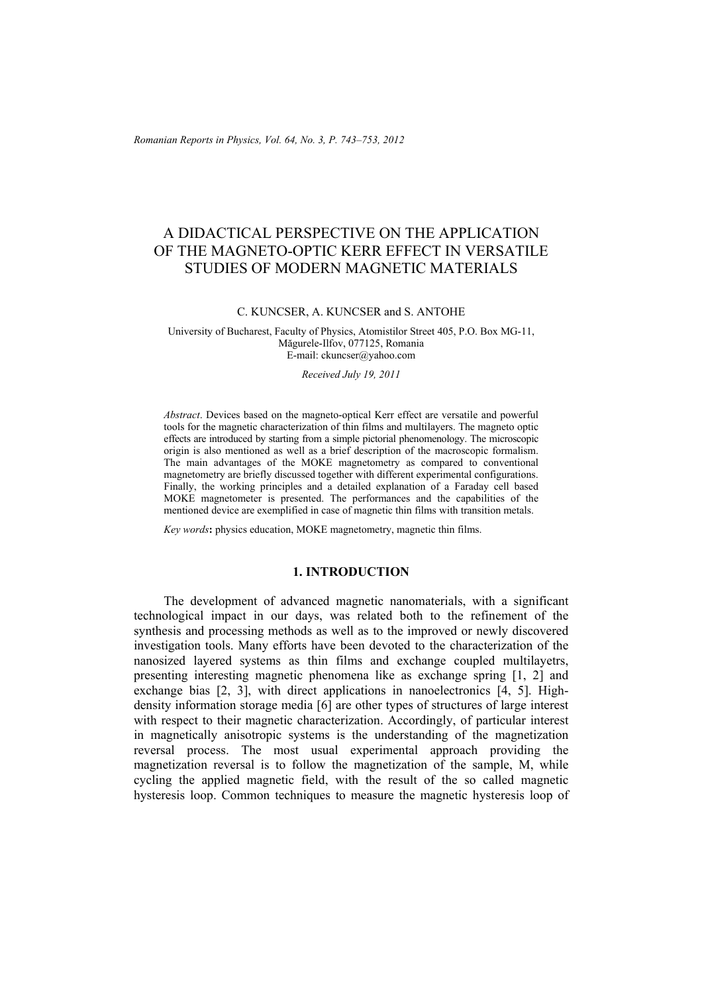*Romanian Reports in Physics, Vol. 64, No. 3, P. 743–753, 2012*

# A DIDACTICAL PERSPECTIVE ON THE APPLICATION OF THE MAGNETO-OPTIC KERR EFFECT IN VERSATILE STUDIES OF MODERN MAGNETIC MATERIALS

C. KUNCSER, A. KUNCSER and S. ANTOHE

University of Bucharest, Faculty of Physics, Atomistilor Street 405, P.O. Box MG-11, Măgurele-Ilfov, 077125, Romania E-mail: ckuncser@yahoo.com

*Received July 19, 2011* 

*Abstract*. Devices based on the magneto-optical Kerr effect are versatile and powerful tools for the magnetic characterization of thin films and multilayers. The magneto optic effects are introduced by starting from a simple pictorial phenomenology. The microscopic origin is also mentioned as well as a brief description of the macroscopic formalism. The main advantages of the MOKE magnetometry as compared to conventional magnetometry are briefly discussed together with different experimental configurations. Finally, the working principles and a detailed explanation of a Faraday cell based MOKE magnetometer is presented. The performances and the capabilities of the mentioned device are exemplified in case of magnetic thin films with transition metals.

*Key words***:** physics education, MOKE magnetometry, magnetic thin films.

### **1. INTRODUCTION**

The development of advanced magnetic nanomaterials, with a significant technological impact in our days, was related both to the refinement of the synthesis and processing methods as well as to the improved or newly discovered investigation tools. Many efforts have been devoted to the characterization of the nanosized layered systems as thin films and exchange coupled multilayetrs, presenting interesting magnetic phenomena like as exchange spring [1, 2] and exchange bias [2, 3], with direct applications in nanoelectronics [4, 5]. Highdensity information storage media [6] are other types of structures of large interest with respect to their magnetic characterization. Accordingly, of particular interest in magnetically anisotropic systems is the understanding of the magnetization reversal process. The most usual experimental approach providing the magnetization reversal is to follow the magnetization of the sample, M, while cycling the applied magnetic field, with the result of the so called magnetic hysteresis loop. Common techniques to measure the magnetic hysteresis loop of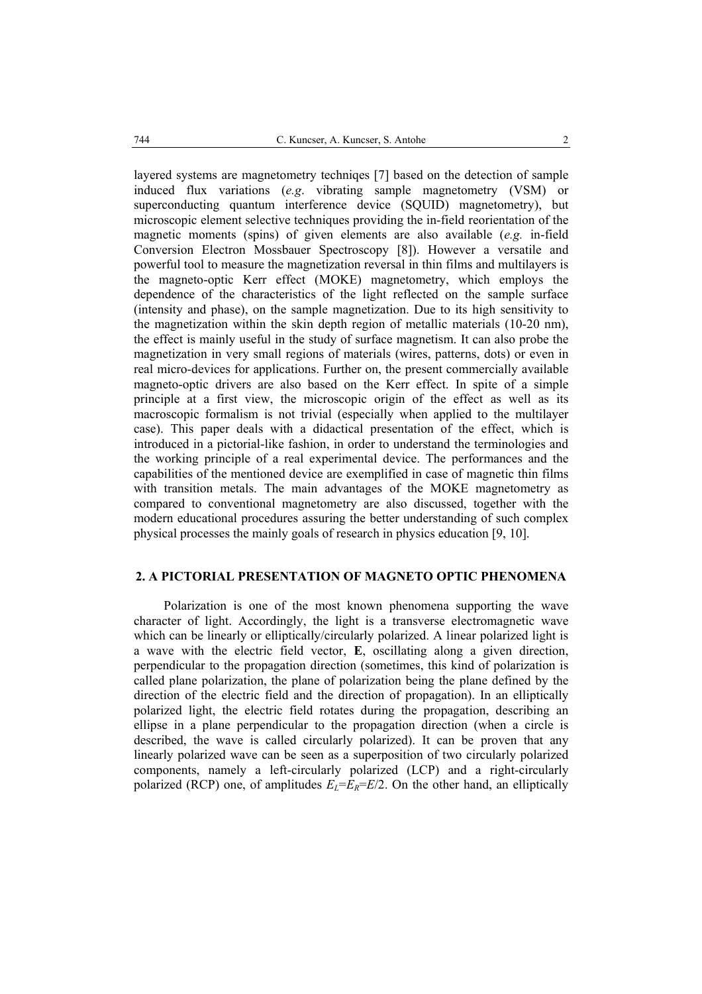layered systems are magnetometry techniqes [7] based on the detection of sample induced flux variations (*e.g*. vibrating sample magnetometry (VSM) or superconducting quantum interference device (SQUID) magnetometry), but microscopic element selective techniques providing the in-field reorientation of the magnetic moments (spins) of given elements are also available (*e.g.* in-field Conversion Electron Mossbauer Spectroscopy [8]). However a versatile and powerful tool to measure the magnetization reversal in thin films and multilayers is the magneto-optic Kerr effect (MOKE) magnetometry, which employs the dependence of the characteristics of the light reflected on the sample surface (intensity and phase), on the sample magnetization. Due to its high sensitivity to the magnetization within the skin depth region of metallic materials (10-20 nm), the effect is mainly useful in the study of surface magnetism. It can also probe the magnetization in very small regions of materials (wires, patterns, dots) or even in real micro-devices for applications. Further on, the present commercially available magneto-optic drivers are also based on the Kerr effect. In spite of a simple principle at a first view, the microscopic origin of the effect as well as its macroscopic formalism is not trivial (especially when applied to the multilayer case). This paper deals with a didactical presentation of the effect, which is introduced in a pictorial-like fashion, in order to understand the terminologies and the working principle of a real experimental device. The performances and the capabilities of the mentioned device are exemplified in case of magnetic thin films with transition metals. The main advantages of the MOKE magnetometry as compared to conventional magnetometry are also discussed, together with the modern educational procedures assuring the better understanding of such complex physical processes the mainly goals of research in physics education [9, 10].

## **2. A PICTORIAL PRESENTATION OF MAGNETO OPTIC PHENOMENA**

Polarization is one of the most known phenomena supporting the wave character of light. Accordingly, the light is a transverse electromagnetic wave which can be linearly or elliptically/circularly polarized. A linear polarized light is a wave with the electric field vector, **E**, oscillating along a given direction, perpendicular to the propagation direction (sometimes, this kind of polarization is called plane polarization, the plane of polarization being the plane defined by the direction of the electric field and the direction of propagation). In an elliptically polarized light, the electric field rotates during the propagation, describing an ellipse in a plane perpendicular to the propagation direction (when a circle is described, the wave is called circularly polarized). It can be proven that any linearly polarized wave can be seen as a superposition of two circularly polarized components, namely a left-circularly polarized (LCP) and a right-circularly polarized (RCP) one, of amplitudes  $E_L=E_R=E/2$ . On the other hand, an elliptically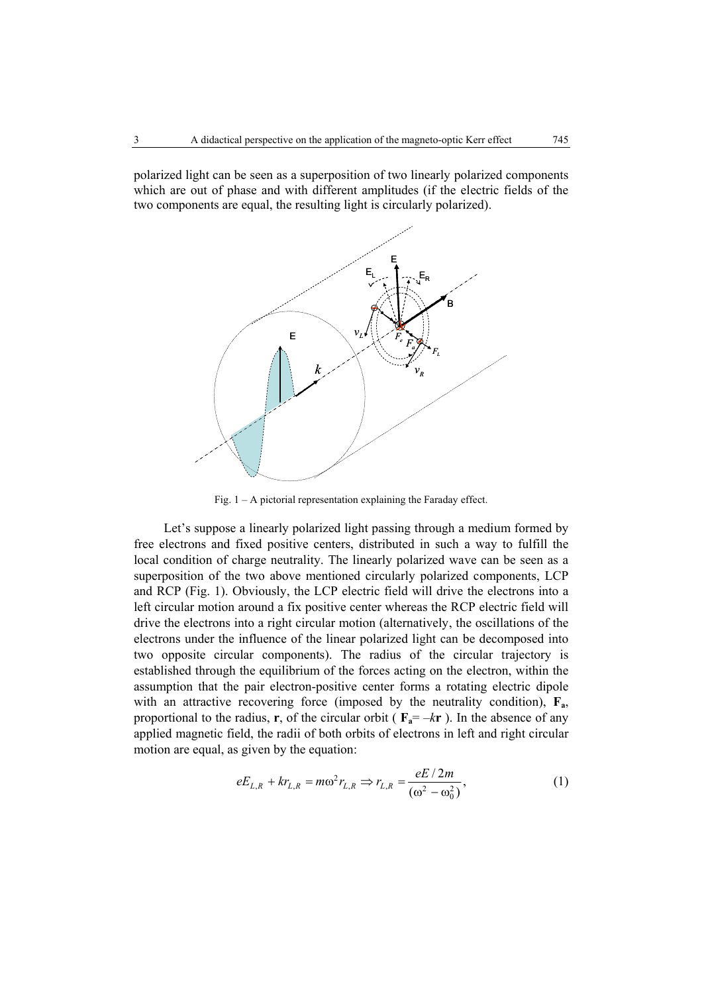polarized light can be seen as a superposition of two linearly polarized components which are out of phase and with different amplitudes (if the electric fields of the two components are equal, the resulting light is circularly polarized).



Fig. 1 – A pictorial representation explaining the Faraday effect.

Let's suppose a linearly polarized light passing through a medium formed by free electrons and fixed positive centers, distributed in such a way to fulfill the local condition of charge neutrality. The linearly polarized wave can be seen as a superposition of the two above mentioned circularly polarized components, LCP and RCP (Fig. 1). Obviously, the LCP electric field will drive the electrons into a left circular motion around a fix positive center whereas the RCP electric field will drive the electrons into a right circular motion (alternatively, the oscillations of the electrons under the influence of the linear polarized light can be decomposed into two opposite circular components). The radius of the circular trajectory is established through the equilibrium of the forces acting on the electron, within the assumption that the pair electron-positive center forms a rotating electric dipole with an attractive recovering force (imposed by the neutrality condition),  $\mathbf{F}_a$ , proportional to the radius, **r**, of the circular orbit ( $\mathbf{F}_a = -k\mathbf{r}$ ). In the absence of any applied magnetic field, the radii of both orbits of electrons in left and right circular motion are equal, as given by the equation:

$$
eE_{L,R} + kr_{L,R} = m\omega^2 r_{L,R} \Rightarrow r_{L,R} = \frac{eE/2m}{(\omega^2 - \omega_0^2)},
$$
 (1)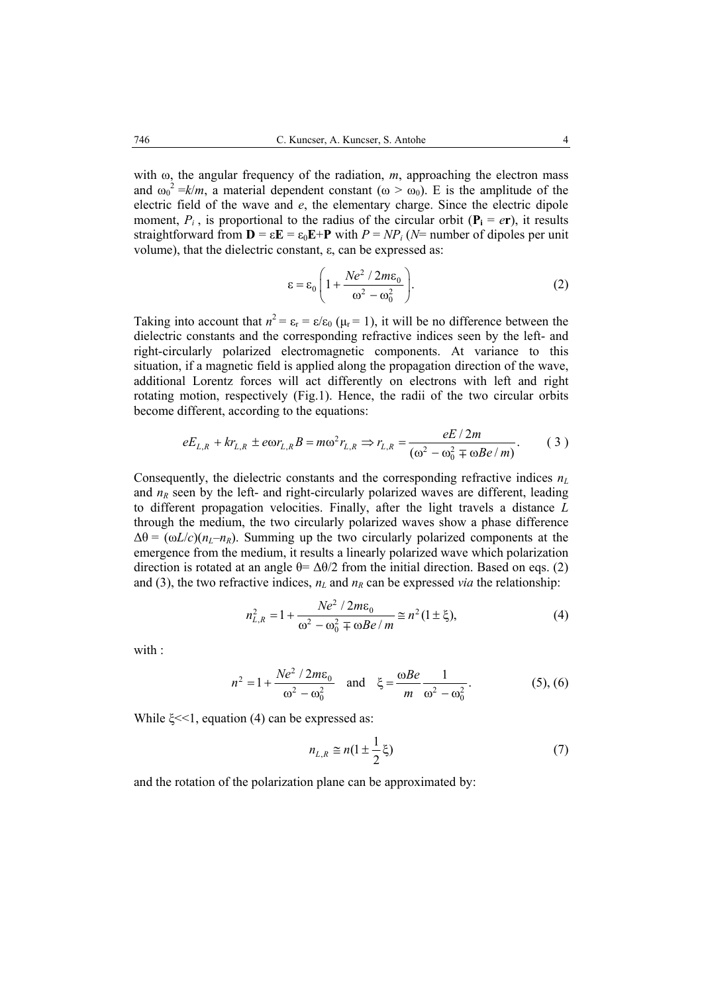with  $\omega$ , the angular frequency of the radiation, *m*, approaching the electron mass and  $\omega_0^2 = k/m$ , a material dependent constant ( $\omega > \omega_0$ ). E is the amplitude of the electric field of the wave and *e*, the elementary charge. Since the electric dipole moment,  $P_i$ , is proportional to the radius of the circular orbit ( $P_i = er$ ), it results straightforward from  $\mathbf{D} = \varepsilon \mathbf{E} = \varepsilon_0 \mathbf{E} + \mathbf{P}$  with  $P = NP_i$  ( $N=$  number of dipoles per unit volume), that the dielectric constant, ε, can be expressed as:

$$
\varepsilon = \varepsilon_0 \left( 1 + \frac{Ne^2 / 2m\varepsilon_0}{\omega^2 - \omega_0^2} \right).
$$
 (2)

Taking into account that  $n^2 = \varepsilon_r = \varepsilon/\varepsilon_0$  ( $\mu_r = 1$ ), it will be no difference between the dielectric constants and the corresponding refractive indices seen by the left- and right-circularly polarized electromagnetic components. At variance to this situation, if a magnetic field is applied along the propagation direction of the wave, additional Lorentz forces will act differently on electrons with left and right rotating motion, respectively (Fig.1). Hence, the radii of the two circular orbits become different, according to the equations:

$$
eE_{L,R} + kr_{L,R} \pm e\omega r_{L,R}B = m\omega^2 r_{L,R} \Rightarrow r_{L,R} = \frac{eE/2m}{(\omega^2 - \omega_0^2 \mp \omega Be/m)}.
$$
 (3)

Consequently, the dielectric constants and the corresponding refractive indices *nL* and  $n<sub>R</sub>$  seen by the left- and right-circularly polarized waves are different, leading to different propagation velocities. Finally, after the light travels a distance *L* through the medium, the two circularly polarized waves show a phase difference  $\Delta\theta = (\omega L/c)(n_L - n_R)$ . Summing up the two circularly polarized components at the emergence from the medium, it results a linearly polarized wave which polarization direction is rotated at an angle  $\theta = \Delta\theta/2$  from the initial direction. Based on eqs. (2) and (3), the two refractive indices,  $n<sub>L</sub>$  and  $n<sub>R</sub>$  can be expressed *via* the relationship:

$$
n_{L,R}^2 = 1 + \frac{Ne^2 / 2m\epsilon_0}{\omega^2 - \omega_0^2 \mp \omega Be/m} \approx n^2 (1 \pm \xi),
$$
 (4)

with  $\cdot$ 

$$
n^{2} = 1 + \frac{Ne^{2} / 2m\epsilon_{0}}{\omega^{2} - \omega_{0}^{2}} \quad \text{and} \quad \xi = \frac{\omega Be}{m} \frac{1}{\omega^{2} - \omega_{0}^{2}}.
$$
 (5), (6)

While  $\xi \ll 1$ , equation (4) can be expressed as:

$$
n_{L,R} \cong n(1 \pm \frac{1}{2}\xi) \tag{7}
$$

and the rotation of the polarization plane can be approximated by: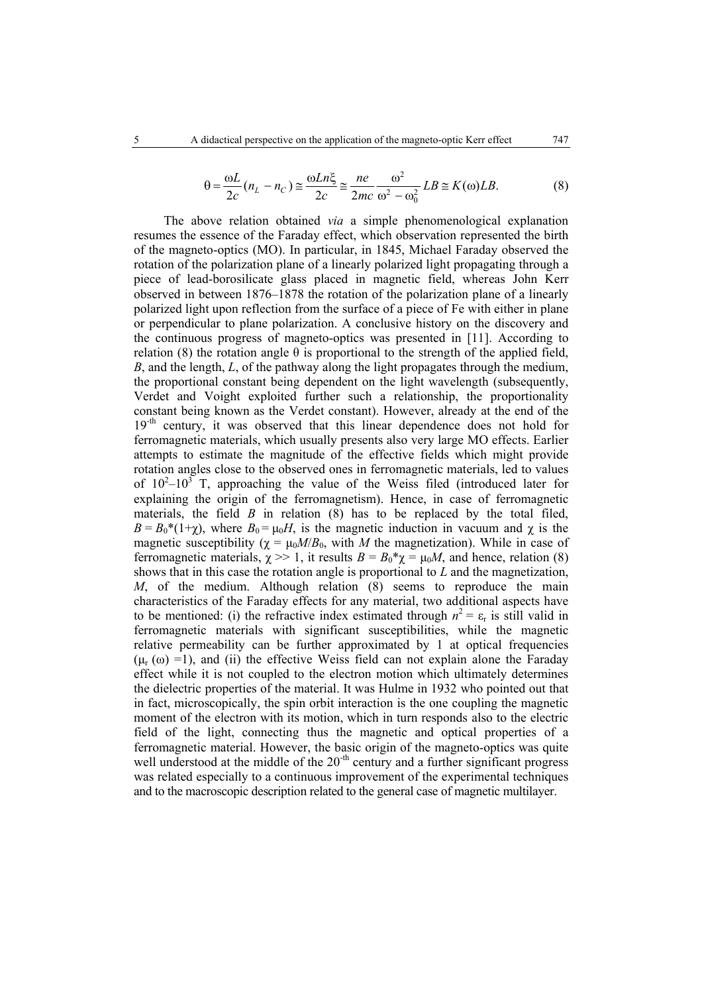$$
\theta = \frac{\omega L}{2c} (n_L - n_C) \approx \frac{\omega L n \xi}{2c} \approx \frac{ne}{2mc} \frac{\omega^2}{\omega^2 - \omega_0^2} L B \approx K(\omega) L B. \tag{8}
$$

The above relation obtained *via* a simple phenomenological explanation resumes the essence of the Faraday effect, which observation represented the birth of the magneto-optics (MO). In particular, in 1845, Michael Faraday observed the rotation of the polarization plane of a linearly polarized light propagating through a piece of lead-borosilicate glass placed in magnetic field, whereas John Kerr observed in between 1876–1878 the rotation of the polarization plane of a linearly polarized light upon reflection from the surface of a piece of Fe with either in plane or perpendicular to plane polarization. A conclusive history on the discovery and the continuous progress of magneto-optics was presented in [11]. According to relation (8) the rotation angle  $θ$  is proportional to the strength of the applied field, *B*, and the length, *L*, of the pathway along the light propagates through the medium, the proportional constant being dependent on the light wavelength (subsequently, Verdet and Voight exploited further such a relationship, the proportionality constant being known as the Verdet constant). However, already at the end of the 19<sup>-th</sup> century, it was observed that this linear dependence does not hold for ferromagnetic materials, which usually presents also very large MO effects. Earlier attempts to estimate the magnitude of the effective fields which might provide rotation angles close to the observed ones in ferromagnetic materials, led to values of  $10^2 - 10^3$  T, approaching the value of the Weiss filed (introduced later for explaining the origin of the ferromagnetism). Hence, in case of ferromagnetic materials, the field *B* in relation (8) has to be replaced by the total filed,  $B = B_0^*(1+\chi)$ , where  $B_0 = \mu_0 H$ , is the magnetic induction in vacuum and  $\chi$  is the magnetic susceptibility  $(\chi = \mu_0 M / B_0)$ , with *M* the magnetization). While in case of ferromagnetic materials,  $\chi$  >> 1, it results  $B = B_0^* \chi = \mu_0 M$ , and hence, relation (8) shows that in this case the rotation angle is proportional to *L* and the magnetization, *M*, of the medium. Although relation (8) seems to reproduce the main characteristics of the Faraday effects for any material, two additional aspects have to be mentioned: (i) the refractive index estimated through  $n^2 = \varepsilon_r$  is still valid in ferromagnetic materials with significant susceptibilities, while the magnetic relative permeability can be further approximated by 1 at optical frequencies  $(\mu_r(\omega) = 1)$ , and (ii) the effective Weiss field can not explain alone the Faraday effect while it is not coupled to the electron motion which ultimately determines the dielectric properties of the material. It was Hulme in 1932 who pointed out that in fact, microscopically, the spin orbit interaction is the one coupling the magnetic moment of the electron with its motion, which in turn responds also to the electric field of the light, connecting thus the magnetic and optical properties of a ferromagnetic material. However, the basic origin of the magneto-optics was quite well understood at the middle of the  $20<sup>-th</sup>$  century and a further significant progress was related especially to a continuous improvement of the experimental techniques and to the macroscopic description related to the general case of magnetic multilayer.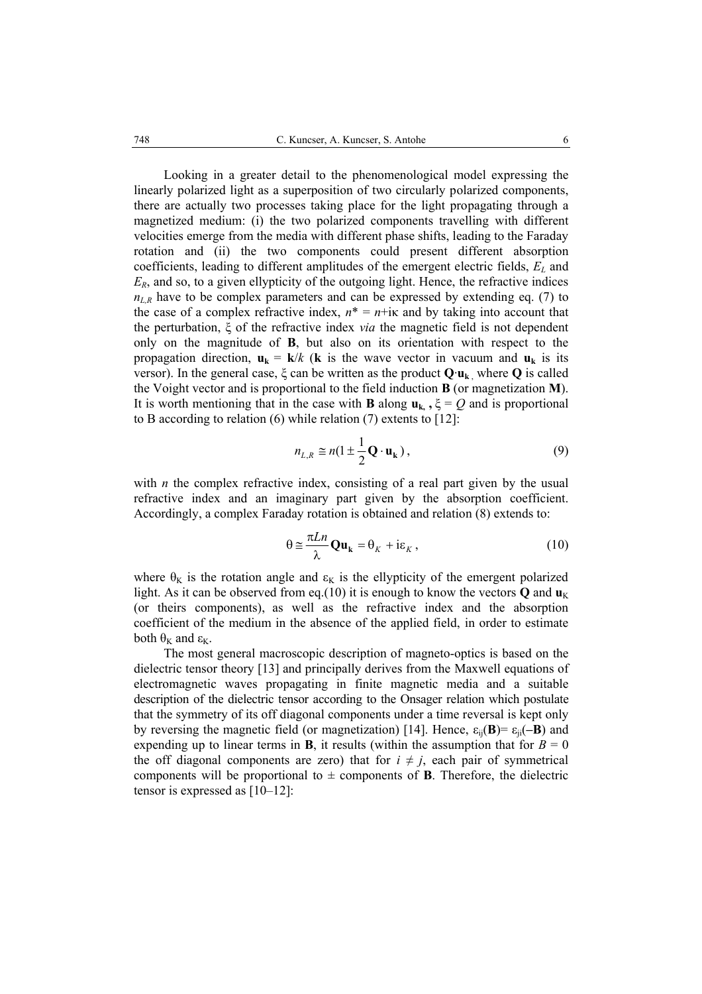Looking in a greater detail to the phenomenological model expressing the linearly polarized light as a superposition of two circularly polarized components, there are actually two processes taking place for the light propagating through a magnetized medium: (i) the two polarized components travelling with different velocities emerge from the media with different phase shifts, leading to the Faraday rotation and (ii) the two components could present different absorption coefficients, leading to different amplitudes of the emergent electric fields,  $E_L$  and *ER*, and so, to a given ellypticity of the outgoing light. Hence, the refractive indices  $n_{LR}$  have to be complex parameters and can be expressed by extending eq. (7) to the case of a complex refractive index,  $n^* = n + i\kappa$  and by taking into account that the perturbation, ξ of the refractive index *via* the magnetic field is not dependent only on the magnitude of **B**, but also on its orientation with respect to the propagation direction,  $\mathbf{u}_k = \mathbf{k}/k$  (**k** is the wave vector in vacuum and  $\mathbf{u}_k$  is its versor). In the general case, ξ can be written as the product **Q**·**uk** , where **Q** is called the Voight vector and is proportional to the field induction **B** (or magnetization **M**). It is worth mentioning that in the case with **B** along  $\mathbf{u}_{k}$ ,  $\xi = Q$  and is proportional to B according to relation (6) while relation (7) extents to [12]:

$$
n_{L,R} \cong n(1 \pm \frac{1}{2} \mathbf{Q} \cdot \mathbf{u}_{k}), \qquad (9)
$$

with *n* the complex refractive index, consisting of a real part given by the usual refractive index and an imaginary part given by the absorption coefficient. Accordingly, a complex Faraday rotation is obtained and relation (8) extends to:

$$
\theta \cong \frac{\pi L n}{\lambda} \mathbf{Qu}_{k} = \theta_{K} + i\varepsilon_{K}, \qquad (10)
$$

where  $\theta_K$  is the rotation angle and  $\varepsilon_K$  is the ellypticity of the emergent polarized light. As it can be observed from eq.(10) it is enough to know the vectors  $\bf{Q}$  and  $\bf{u}_K$ (or theirs components), as well as the refractive index and the absorption coefficient of the medium in the absence of the applied field, in order to estimate both  $\theta_K$  and  $\epsilon_K$ .

 The most general macroscopic description of magneto-optics is based on the dielectric tensor theory [13] and principally derives from the Maxwell equations of electromagnetic waves propagating in finite magnetic media and a suitable description of the dielectric tensor according to the Onsager relation which postulate that the symmetry of its off diagonal components under a time reversal is kept only by reversing the magnetic field (or magnetization) [14]. Hence,  $\varepsilon_{ii}(\mathbf{B}) = \varepsilon_{ii}(-\mathbf{B})$  and expending up to linear terms in **B**, it results (within the assumption that for  $B = 0$ the off diagonal components are zero) that for  $i \neq j$ , each pair of symmetrical components will be proportional to  $\pm$  components of **B**. Therefore, the dielectric tensor is expressed as [10–12]: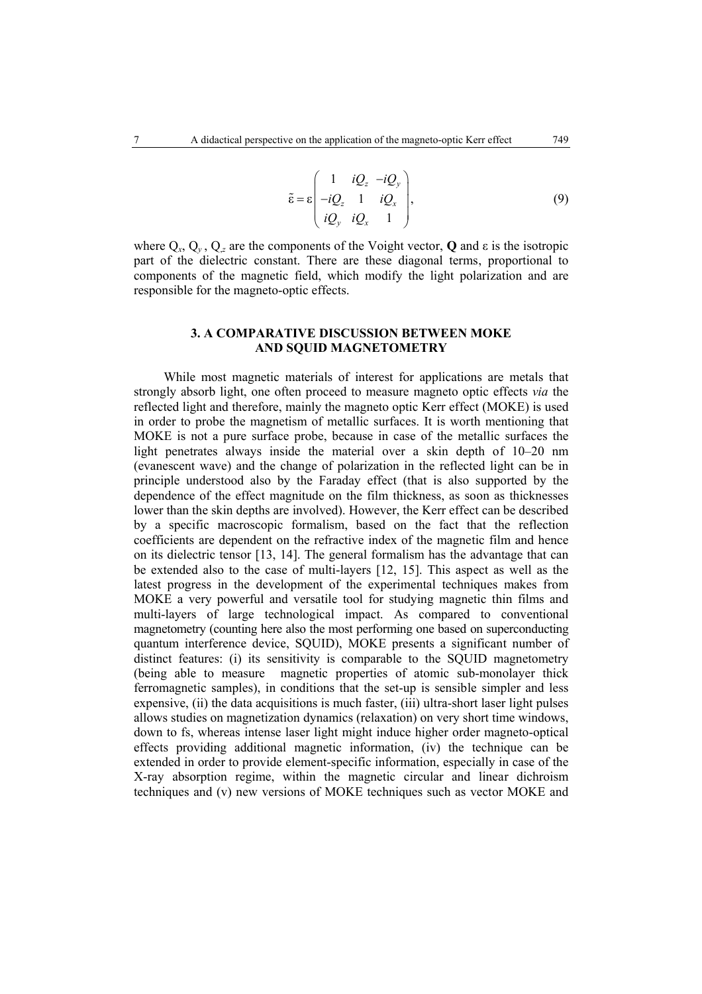$$
\tilde{\varepsilon} = \varepsilon \begin{pmatrix} 1 & iQ_z & -iQ_y \\ -iQ_z & 1 & iQ_x \\ iQ_y & iQ_x & 1 \end{pmatrix},
$$
\n(9)

where  $Q_x$ ,  $Q_y$ ,  $Q_z$  are the components of the Voight vector, **Q** and  $\varepsilon$  is the isotropic part of the dielectric constant. There are these diagonal terms, proportional to components of the magnetic field, which modify the light polarization and are responsible for the magneto-optic effects.

#### **3. A COMPARATIVE DISCUSSION BETWEEN MOKE AND SQUID MAGNETOMETRY**

While most magnetic materials of interest for applications are metals that strongly absorb light, one often proceed to measure magneto optic effects *via* the reflected light and therefore, mainly the magneto optic Kerr effect (MOKE) is used in order to probe the magnetism of metallic surfaces. It is worth mentioning that MOKE is not a pure surface probe, because in case of the metallic surfaces the light penetrates always inside the material over a skin depth of 10–20 nm (evanescent wave) and the change of polarization in the reflected light can be in principle understood also by the Faraday effect (that is also supported by the dependence of the effect magnitude on the film thickness, as soon as thicknesses lower than the skin depths are involved). However, the Kerr effect can be described by a specific macroscopic formalism, based on the fact that the reflection coefficients are dependent on the refractive index of the magnetic film and hence on its dielectric tensor [13, 14]. The general formalism has the advantage that can be extended also to the case of multi-layers [12, 15]. This aspect as well as the latest progress in the development of the experimental techniques makes from MOKE a very powerful and versatile tool for studying magnetic thin films and multi-layers of large technological impact. As compared to conventional magnetometry (counting here also the most performing one based on superconducting quantum interference device, SQUID), MOKE presents a significant number of distinct features: (i) its sensitivity is comparable to the SOUID magnetometry (being able to measure magnetic properties of atomic sub-monolayer thick ferromagnetic samples), in conditions that the set-up is sensible simpler and less expensive, (ii) the data acquisitions is much faster, (iii) ultra-short laser light pulses allows studies on magnetization dynamics (relaxation) on very short time windows, down to fs, whereas intense laser light might induce higher order magneto-optical effects providing additional magnetic information, (iv) the technique can be extended in order to provide element-specific information, especially in case of the X-ray absorption regime, within the magnetic circular and linear dichroism techniques and (v) new versions of MOKE techniques such as vector MOKE and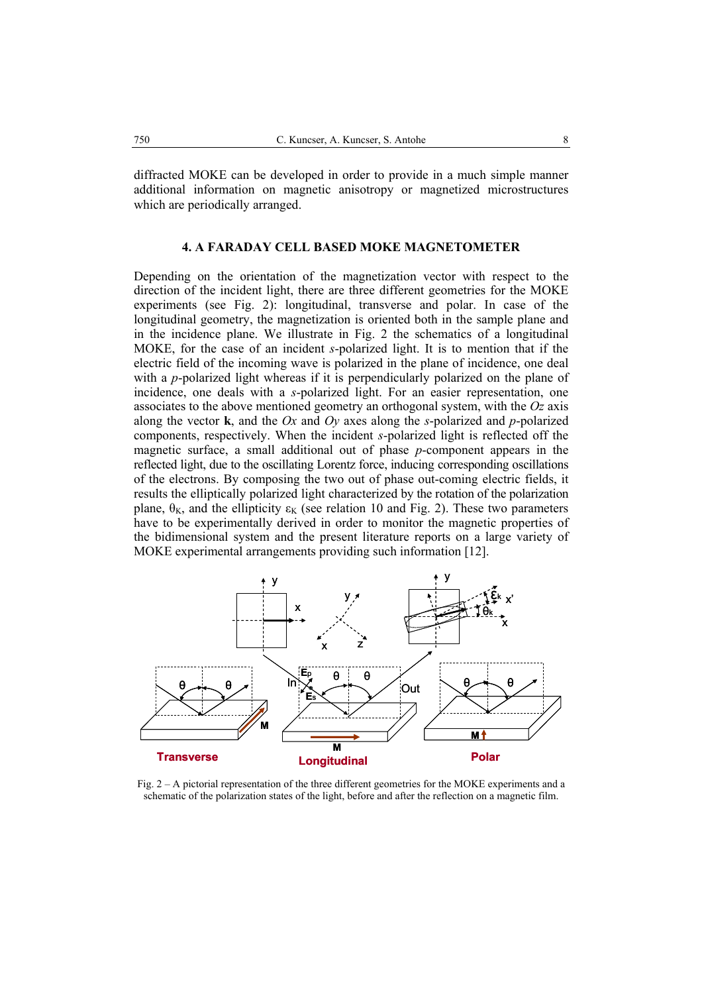diffracted MOKE can be developed in order to provide in a much simple manner additional information on magnetic anisotropy or magnetized microstructures which are periodically arranged.

#### **4. A FARADAY CELL BASED MOKE MAGNETOMETER**

Depending on the orientation of the magnetization vector with respect to the direction of the incident light, there are three different geometries for the MOKE experiments (see Fig. 2): longitudinal, transverse and polar. In case of the longitudinal geometry, the magnetization is oriented both in the sample plane and in the incidence plane. We illustrate in Fig. 2 the schematics of a longitudinal MOKE, for the case of an incident *s*-polarized light. It is to mention that if the electric field of the incoming wave is polarized in the plane of incidence, one deal with a *p*-polarized light whereas if it is perpendicularly polarized on the plane of incidence, one deals with a *s*-polarized light. For an easier representation, one associates to the above mentioned geometry an orthogonal system, with the *Oz* axis along the vector **k**, and the *Ox* and *Oy* axes along the *s*-polarized and *p*-polarized components, respectively. When the incident *s*-polarized light is reflected off the magnetic surface, a small additional out of phase *p*-component appears in the reflected light, due to the oscillating Lorentz force, inducing corresponding oscillations of the electrons. By composing the two out of phase out-coming electric fields, it results the elliptically polarized light characterized by the rotation of the polarization plane,  $\theta_{K}$ , and the ellipticity  $\epsilon_{K}$  (see relation 10 and Fig. 2). These two parameters have to be experimentally derived in order to monitor the magnetic properties of the bidimensional system and the present literature reports on a large variety of MOKE experimental arrangements providing such information [12].



Fig. 2 – A pictorial representation of the three different geometries for the MOKE experiments and a schematic of the polarization states of the light, before and after the reflection on a magnetic film.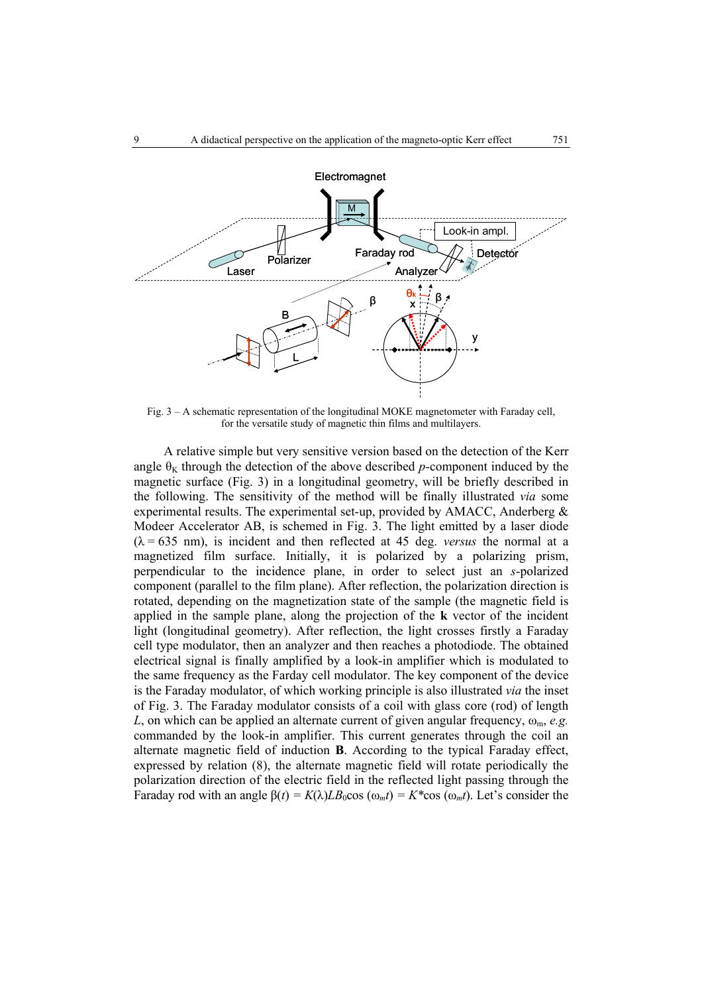

Fig. 3 – A schematic representation of the longitudinal MOKE magnetometer with Faraday cell, for the versatile study of magnetic thin films and multilayers.

A relative simple but very sensitive version based on the detection of the Kerr angle  $\theta_K$  through the detection of the above described *p*-component induced by the magnetic surface (Fig. 3) in a longitudinal geometry, will be briefly described in the following. The sensitivity of the method will be finally illustrated *via* some experimental results. The experimental set-up, provided by AMACC, Anderberg & Modeer Accelerator AB, is schemed in Fig. 3. The light emitted by a laser diode  $(\lambda = 635 \text{ nm})$ , is incident and then reflected at 45 deg. *versus* the normal at a magnetized film surface. Initially, it is polarized by a polarizing prism, perpendicular to the incidence plane, in order to select just an *s*-polarized component (parallel to the film plane). After reflection, the polarization direction is rotated, depending on the magnetization state of the sample (the magnetic field is applied in the sample plane, along the projection of the **k** vector of the incident light (longitudinal geometry). After reflection, the light crosses firstly a Faraday cell type modulator, then an analyzer and then reaches a photodiode. The obtained electrical signal is finally amplified by a look-in amplifier which is modulated to the same frequency as the Farday cell modulator. The key component of the device is the Faraday modulator, of which working principle is also illustrated *via* the inset of Fig. 3. The Faraday modulator consists of a coil with glass core (rod) of length *L*, on which can be applied an alternate current of given angular frequency,  $\omega_{\rm m}$ , *e.g.* commanded by the look-in amplifier. This current generates through the coil an alternate magnetic field of induction **B**. According to the typical Faraday effect, expressed by relation (8), the alternate magnetic field will rotate periodically the polarization direction of the electric field in the reflected light passing through the Faraday rod with an angle  $\beta(t) = K(\lambda)LB_0\cos(\omega_m t) = K^*\cos(\omega_m t)$ . Let's consider the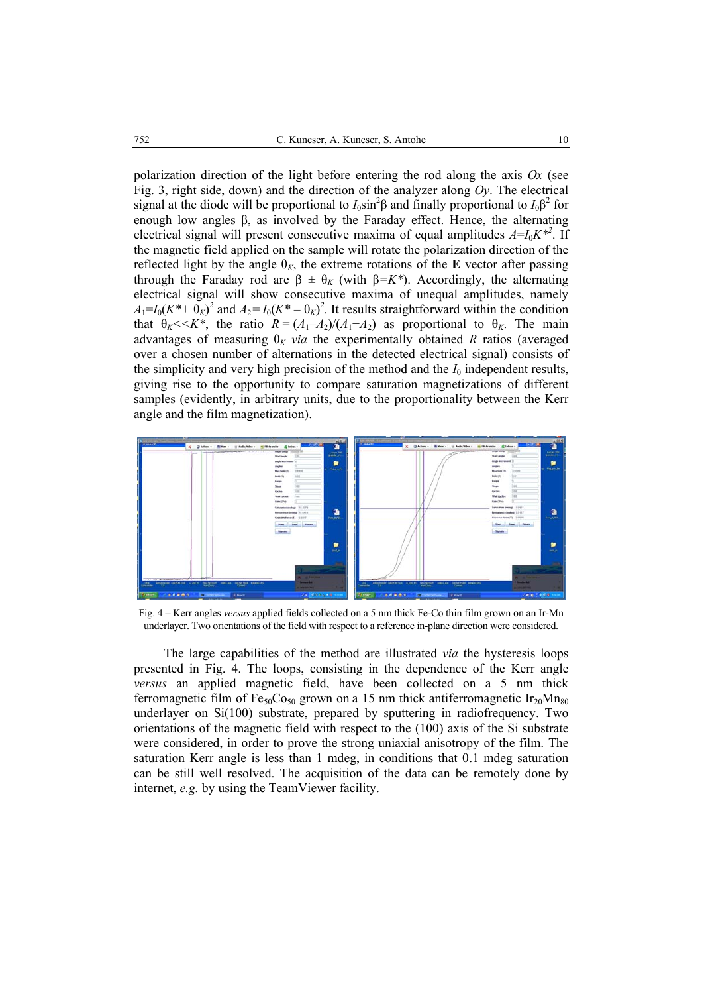polarization direction of the light before entering the rod along the axis *Ox* (see Fig. 3, right side, down) and the direction of the analyzer along *Oy*. The electrical signal at the diode will be proportional to  $I_0 \sin^2 \beta$  and finally proportional to  $I_0 \beta^2$  for enough low angles β, as involved by the Faraday effect. Hence, the alternating electrical signal will present consecutive maxima of equal amplitudes  $A = I_0 K^{*2}$ . If the magnetic field applied on the sample will rotate the polarization direction of the reflected light by the angle  $\theta_K$ , the extreme rotations of the **E** vector after passing through the Faraday rod are  $\beta \pm \theta_K$  (with  $\beta = K^*$ ). Accordingly, the alternating electrical signal will show consecutive maxima of unequal amplitudes, namely  $A_1 = I_0(K^* + \Theta_K)^2$  and  $A_2 = I_0(K^* - \Theta_K)^2$ . It results straightforward within the condition that  $\theta_K \le K^*$ , the ratio  $R = (A_1 - A_2)/(A_1 + A_2)$  as proportional to  $\theta_K$ . The main advantages of measuring  $\theta_K$  *via* the experimentally obtained *R* ratios (averaged over a chosen number of alternations in the detected electrical signal) consists of the simplicity and very high precision of the method and the  $I_0$  independent results, giving rise to the opportunity to compare saturation magnetizations of different samples (evidently, in arbitrary units, due to the proportionality between the Kerr angle and the film magnetization).



Fig. 4 – Kerr angles *versus* applied fields collected on a 5 nm thick Fe-Co thin film grown on an Ir-Mn underlayer. Two orientations of the field with respect to a reference in-plane direction were considered.

The large capabilities of the method are illustrated *via* the hysteresis loops presented in Fig. 4. The loops, consisting in the dependence of the Kerr angle *versus* an applied magnetic field, have been collected on a 5 nm thick ferromagnetic film of Fe<sub>50</sub>Co<sub>50</sub> grown on a 15 nm thick antiferromagnetic Ir<sub>20</sub>Mn<sub>80</sub> underlayer on Si(100) substrate, prepared by sputtering in radiofrequency. Two orientations of the magnetic field with respect to the (100) axis of the Si substrate were considered, in order to prove the strong uniaxial anisotropy of the film. The saturation Kerr angle is less than 1 mdeg, in conditions that 0.1 mdeg saturation can be still well resolved. The acquisition of the data can be remotely done by internet, *e.g.* by using the TeamViewer facility.